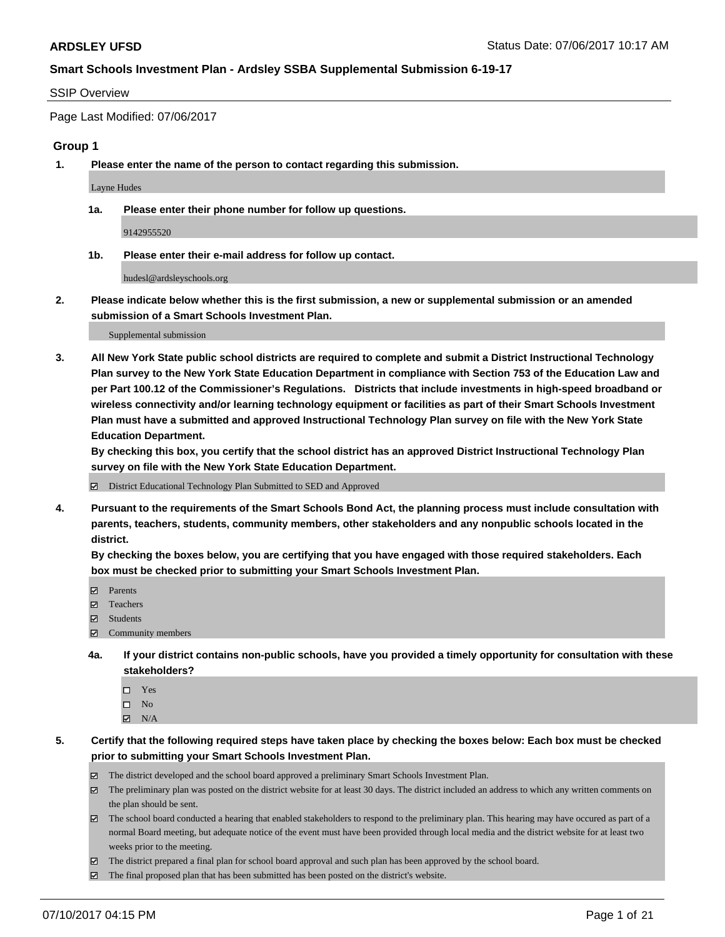#### SSIP Overview

Page Last Modified: 07/06/2017

#### **Group 1**

**1. Please enter the name of the person to contact regarding this submission.**

Layne Hudes

**1a. Please enter their phone number for follow up questions.**

9142955520

**1b. Please enter their e-mail address for follow up contact.**

hudesl@ardsleyschools.org

**2. Please indicate below whether this is the first submission, a new or supplemental submission or an amended submission of a Smart Schools Investment Plan.**

Supplemental submission

**3. All New York State public school districts are required to complete and submit a District Instructional Technology Plan survey to the New York State Education Department in compliance with Section 753 of the Education Law and per Part 100.12 of the Commissioner's Regulations. Districts that include investments in high-speed broadband or wireless connectivity and/or learning technology equipment or facilities as part of their Smart Schools Investment Plan must have a submitted and approved Instructional Technology Plan survey on file with the New York State Education Department.** 

**By checking this box, you certify that the school district has an approved District Instructional Technology Plan survey on file with the New York State Education Department.**

District Educational Technology Plan Submitted to SED and Approved

**4. Pursuant to the requirements of the Smart Schools Bond Act, the planning process must include consultation with parents, teachers, students, community members, other stakeholders and any nonpublic schools located in the district.** 

**By checking the boxes below, you are certifying that you have engaged with those required stakeholders. Each box must be checked prior to submitting your Smart Schools Investment Plan.**

- **マ** Parents
- **□** Teachers
- Students
- $\Xi$  Community members
- **4a. If your district contains non-public schools, have you provided a timely opportunity for consultation with these stakeholders?**
	- Yes
	- $\hfill \square$  No
	- $\boxtimes$  N/A
- **5. Certify that the following required steps have taken place by checking the boxes below: Each box must be checked prior to submitting your Smart Schools Investment Plan.**
	- The district developed and the school board approved a preliminary Smart Schools Investment Plan.
	- $\boxtimes$  The preliminary plan was posted on the district website for at least 30 days. The district included an address to which any written comments on the plan should be sent.
	- $\boxtimes$  The school board conducted a hearing that enabled stakeholders to respond to the preliminary plan. This hearing may have occured as part of a normal Board meeting, but adequate notice of the event must have been provided through local media and the district website for at least two weeks prior to the meeting.
	- The district prepared a final plan for school board approval and such plan has been approved by the school board.
	- $\boxtimes$  The final proposed plan that has been submitted has been posted on the district's website.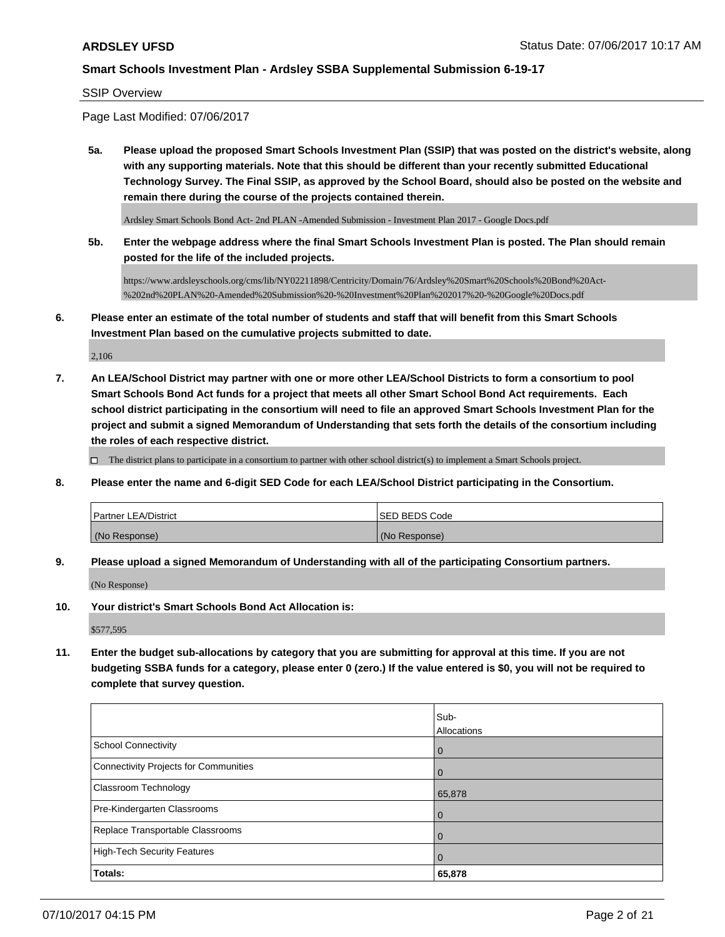#### SSIP Overview

Page Last Modified: 07/06/2017

**5a. Please upload the proposed Smart Schools Investment Plan (SSIP) that was posted on the district's website, along with any supporting materials. Note that this should be different than your recently submitted Educational Technology Survey. The Final SSIP, as approved by the School Board, should also be posted on the website and remain there during the course of the projects contained therein.**

Ardsley Smart Schools Bond Act- 2nd PLAN -Amended Submission - Investment Plan 2017 - Google Docs.pdf

**5b. Enter the webpage address where the final Smart Schools Investment Plan is posted. The Plan should remain posted for the life of the included projects.**

https://www.ardsleyschools.org/cms/lib/NY02211898/Centricity/Domain/76/Ardsley%20Smart%20Schools%20Bond%20Act- %202nd%20PLAN%20-Amended%20Submission%20-%20Investment%20Plan%202017%20-%20Google%20Docs.pdf

**6. Please enter an estimate of the total number of students and staff that will benefit from this Smart Schools Investment Plan based on the cumulative projects submitted to date.**

2,106

**7. An LEA/School District may partner with one or more other LEA/School Districts to form a consortium to pool Smart Schools Bond Act funds for a project that meets all other Smart School Bond Act requirements. Each school district participating in the consortium will need to file an approved Smart Schools Investment Plan for the project and submit a signed Memorandum of Understanding that sets forth the details of the consortium including the roles of each respective district.**

 $\Box$  The district plans to participate in a consortium to partner with other school district(s) to implement a Smart Schools project.

**8. Please enter the name and 6-digit SED Code for each LEA/School District participating in the Consortium.**

| <b>Partner LEA/District</b> | <b>ISED BEDS Code</b> |
|-----------------------------|-----------------------|
| (No Response)               | (No Response)         |

**9. Please upload a signed Memorandum of Understanding with all of the participating Consortium partners.**

(No Response)

**10. Your district's Smart Schools Bond Act Allocation is:**

\$577,595

**11. Enter the budget sub-allocations by category that you are submitting for approval at this time. If you are not budgeting SSBA funds for a category, please enter 0 (zero.) If the value entered is \$0, you will not be required to complete that survey question.**

|                                       | Sub-           |
|---------------------------------------|----------------|
|                                       | Allocations    |
| <b>School Connectivity</b>            | l 0            |
| Connectivity Projects for Communities | $\overline{0}$ |
| <b>Classroom Technology</b>           | 65,878         |
| Pre-Kindergarten Classrooms           | l O            |
| Replace Transportable Classrooms      | $\Omega$       |
| High-Tech Security Features           | <b>0</b>       |
| Totals:                               | 65,878         |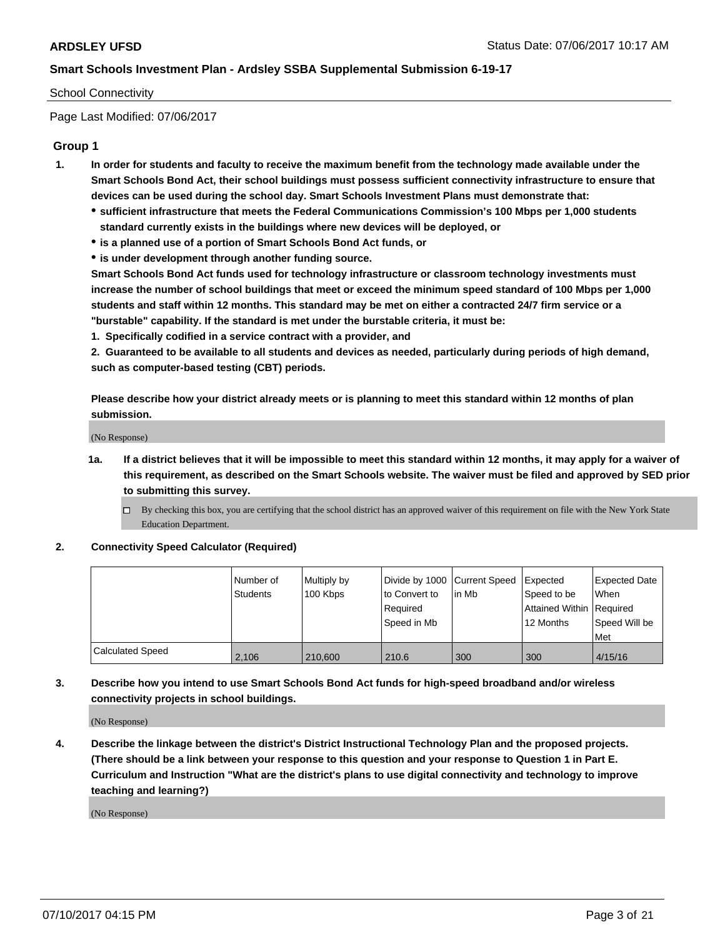### School Connectivity

Page Last Modified: 07/06/2017

## **Group 1**

- **1. In order for students and faculty to receive the maximum benefit from the technology made available under the Smart Schools Bond Act, their school buildings must possess sufficient connectivity infrastructure to ensure that devices can be used during the school day. Smart Schools Investment Plans must demonstrate that:**
	- **sufficient infrastructure that meets the Federal Communications Commission's 100 Mbps per 1,000 students standard currently exists in the buildings where new devices will be deployed, or**
	- **is a planned use of a portion of Smart Schools Bond Act funds, or**
	- **is under development through another funding source.**

**Smart Schools Bond Act funds used for technology infrastructure or classroom technology investments must increase the number of school buildings that meet or exceed the minimum speed standard of 100 Mbps per 1,000 students and staff within 12 months. This standard may be met on either a contracted 24/7 firm service or a "burstable" capability. If the standard is met under the burstable criteria, it must be:**

**1. Specifically codified in a service contract with a provider, and**

**2. Guaranteed to be available to all students and devices as needed, particularly during periods of high demand, such as computer-based testing (CBT) periods.**

**Please describe how your district already meets or is planning to meet this standard within 12 months of plan submission.**

(No Response)

- **1a. If a district believes that it will be impossible to meet this standard within 12 months, it may apply for a waiver of this requirement, as described on the Smart Schools website. The waiver must be filed and approved by SED prior to submitting this survey.**
	- By checking this box, you are certifying that the school district has an approved waiver of this requirement on file with the New York State Education Department.

#### **2. Connectivity Speed Calculator (Required)**

|                         | Number of<br><b>Students</b> | Multiply by<br>100 Kbps | Divide by 1000 Current Speed<br>to Convert to<br>Required<br>Speed in Mb | l in Mb | Expected<br>Speed to be<br>Attained Within Required<br>12 Months | <b>Expected Date</b><br><b>When</b><br>Speed Will be<br>Met |
|-------------------------|------------------------------|-------------------------|--------------------------------------------------------------------------|---------|------------------------------------------------------------------|-------------------------------------------------------------|
| <b>Calculated Speed</b> | 2.106                        | 210,600                 | 210.6                                                                    | 300     | 300                                                              | 4/15/16                                                     |

## **3. Describe how you intend to use Smart Schools Bond Act funds for high-speed broadband and/or wireless connectivity projects in school buildings.**

(No Response)

**4. Describe the linkage between the district's District Instructional Technology Plan and the proposed projects. (There should be a link between your response to this question and your response to Question 1 in Part E. Curriculum and Instruction "What are the district's plans to use digital connectivity and technology to improve teaching and learning?)**

(No Response)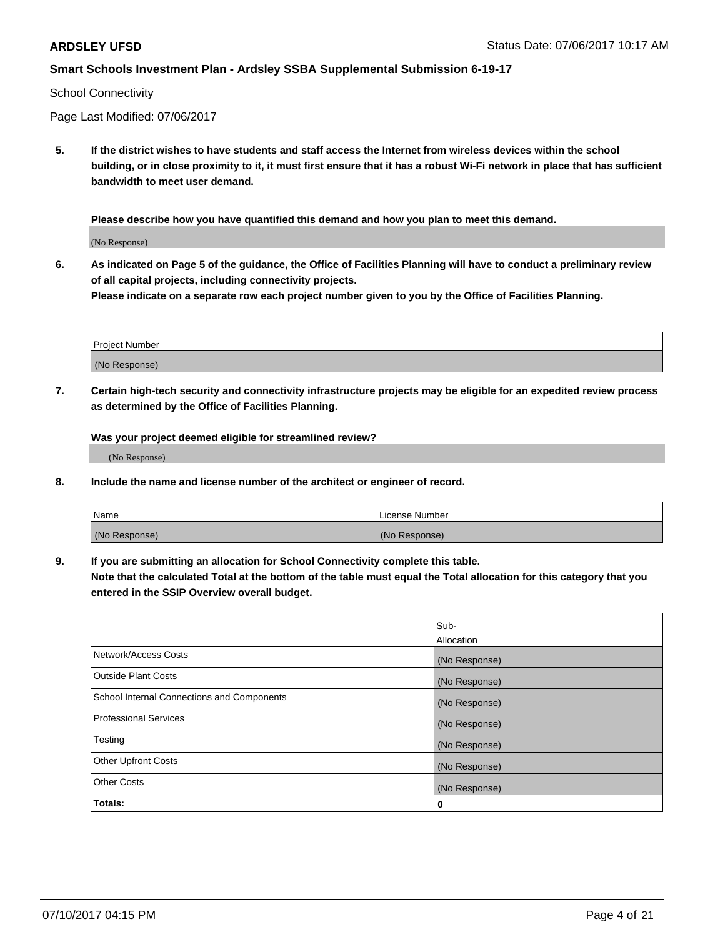#### School Connectivity

Page Last Modified: 07/06/2017

**5. If the district wishes to have students and staff access the Internet from wireless devices within the school building, or in close proximity to it, it must first ensure that it has a robust Wi-Fi network in place that has sufficient bandwidth to meet user demand.**

**Please describe how you have quantified this demand and how you plan to meet this demand.**

(No Response)

**6. As indicated on Page 5 of the guidance, the Office of Facilities Planning will have to conduct a preliminary review of all capital projects, including connectivity projects.**

**Please indicate on a separate row each project number given to you by the Office of Facilities Planning.**

| Project Number |  |
|----------------|--|
|                |  |
| (No Response)  |  |

**7. Certain high-tech security and connectivity infrastructure projects may be eligible for an expedited review process as determined by the Office of Facilities Planning.**

**Was your project deemed eligible for streamlined review?**

(No Response)

**8. Include the name and license number of the architect or engineer of record.**

| Name          | License Number |
|---------------|----------------|
| (No Response) | (No Response)  |

**9. If you are submitting an allocation for School Connectivity complete this table.**

**Note that the calculated Total at the bottom of the table must equal the Total allocation for this category that you entered in the SSIP Overview overall budget.** 

|                                            | Sub-          |
|--------------------------------------------|---------------|
|                                            | Allocation    |
| Network/Access Costs                       | (No Response) |
| <b>Outside Plant Costs</b>                 | (No Response) |
| School Internal Connections and Components | (No Response) |
| <b>Professional Services</b>               | (No Response) |
| Testing                                    | (No Response) |
| <b>Other Upfront Costs</b>                 | (No Response) |
| <b>Other Costs</b>                         | (No Response) |
| Totals:                                    | 0             |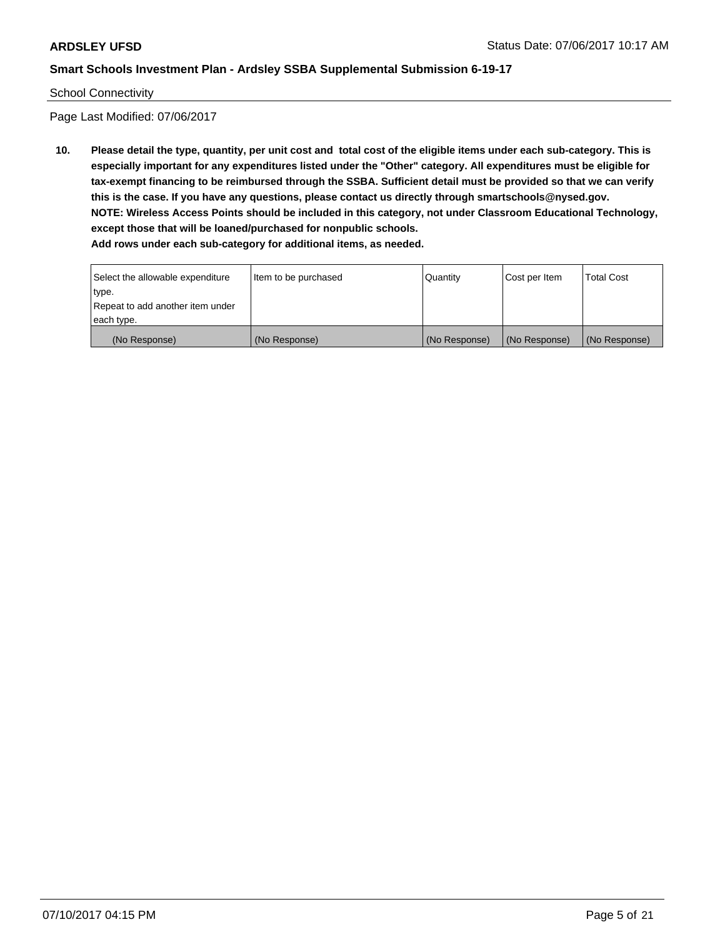#### School Connectivity

Page Last Modified: 07/06/2017

**10. Please detail the type, quantity, per unit cost and total cost of the eligible items under each sub-category. This is especially important for any expenditures listed under the "Other" category. All expenditures must be eligible for tax-exempt financing to be reimbursed through the SSBA. Sufficient detail must be provided so that we can verify this is the case. If you have any questions, please contact us directly through smartschools@nysed.gov. NOTE: Wireless Access Points should be included in this category, not under Classroom Educational Technology, except those that will be loaned/purchased for nonpublic schools. Add rows under each sub-category for additional items, as needed.**

Select the allowable expenditure type. Repeat to add another item under each type. Item to be purchased  $\sqrt{$  Quantity  $\sqrt{}$  Cost per Item  $\sqrt{}$  Total Cost (No Response) (No Response) (No Response) (No Response) (No Response)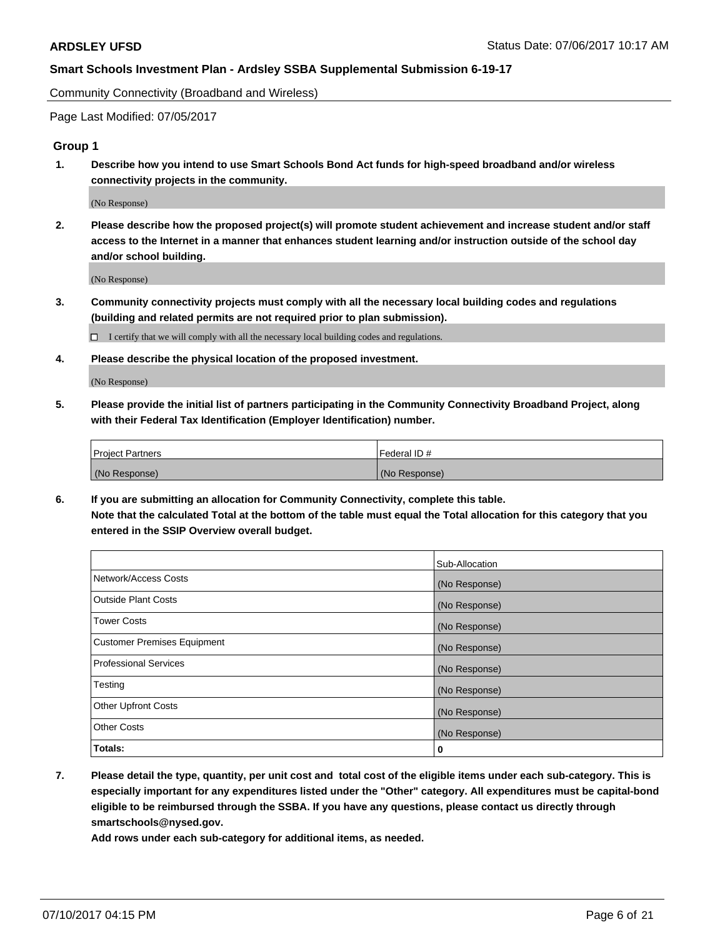Community Connectivity (Broadband and Wireless)

Page Last Modified: 07/05/2017

#### **Group 1**

**1. Describe how you intend to use Smart Schools Bond Act funds for high-speed broadband and/or wireless connectivity projects in the community.**

(No Response)

**2. Please describe how the proposed project(s) will promote student achievement and increase student and/or staff access to the Internet in a manner that enhances student learning and/or instruction outside of the school day and/or school building.**

(No Response)

**3. Community connectivity projects must comply with all the necessary local building codes and regulations (building and related permits are not required prior to plan submission).**

 $\Box$  I certify that we will comply with all the necessary local building codes and regulations.

**4. Please describe the physical location of the proposed investment.**

(No Response)

**5. Please provide the initial list of partners participating in the Community Connectivity Broadband Project, along with their Federal Tax Identification (Employer Identification) number.**

| <b>Project Partners</b> | Federal ID#     |
|-------------------------|-----------------|
| (No Response)           | l (No Response) |

**6. If you are submitting an allocation for Community Connectivity, complete this table. Note that the calculated Total at the bottom of the table must equal the Total allocation for this category that you entered in the SSIP Overview overall budget.**

|                                    | Sub-Allocation |
|------------------------------------|----------------|
| Network/Access Costs               | (No Response)  |
| Outside Plant Costs                | (No Response)  |
| <b>Tower Costs</b>                 | (No Response)  |
| <b>Customer Premises Equipment</b> | (No Response)  |
| <b>Professional Services</b>       | (No Response)  |
| Testing                            | (No Response)  |
| <b>Other Upfront Costs</b>         | (No Response)  |
| <b>Other Costs</b>                 | (No Response)  |
| Totals:                            | 0              |

**7. Please detail the type, quantity, per unit cost and total cost of the eligible items under each sub-category. This is especially important for any expenditures listed under the "Other" category. All expenditures must be capital-bond eligible to be reimbursed through the SSBA. If you have any questions, please contact us directly through smartschools@nysed.gov.**

**Add rows under each sub-category for additional items, as needed.**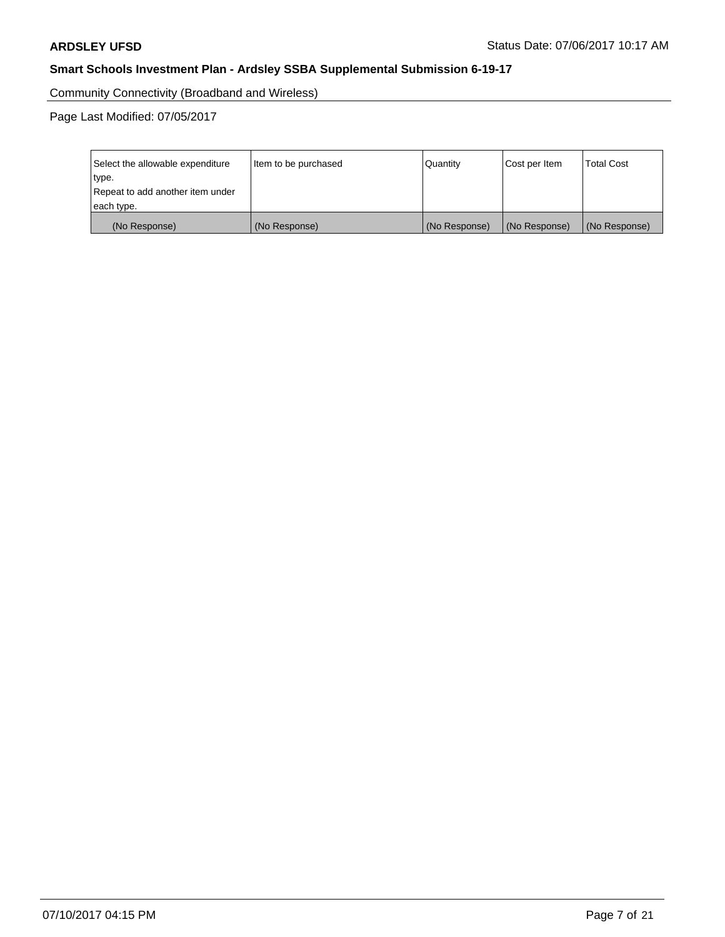Community Connectivity (Broadband and Wireless)

Page Last Modified: 07/05/2017

| Select the allowable expenditure<br>type.<br>Repeat to add another item under | Item to be purchased | Quantity      | Cost per Item | <b>Total Cost</b> |
|-------------------------------------------------------------------------------|----------------------|---------------|---------------|-------------------|
| each type.                                                                    |                      |               |               |                   |
| (No Response)                                                                 | (No Response)        | (No Response) | (No Response) | (No Response)     |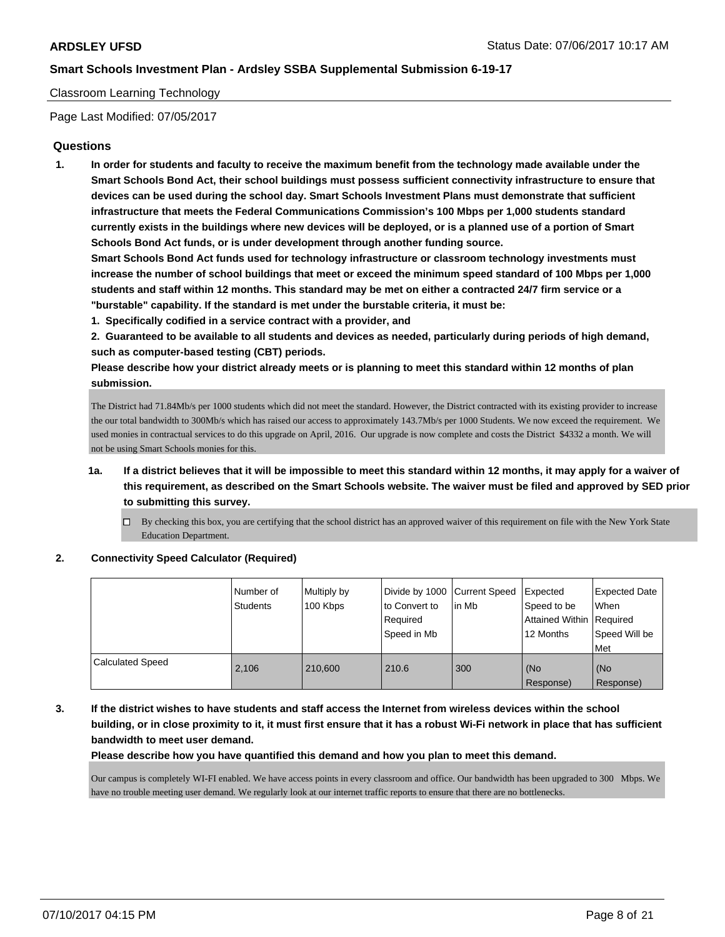## Classroom Learning Technology

Page Last Modified: 07/05/2017

## **Questions**

**1. In order for students and faculty to receive the maximum benefit from the technology made available under the Smart Schools Bond Act, their school buildings must possess sufficient connectivity infrastructure to ensure that devices can be used during the school day. Smart Schools Investment Plans must demonstrate that sufficient infrastructure that meets the Federal Communications Commission's 100 Mbps per 1,000 students standard currently exists in the buildings where new devices will be deployed, or is a planned use of a portion of Smart Schools Bond Act funds, or is under development through another funding source.**

**Smart Schools Bond Act funds used for technology infrastructure or classroom technology investments must increase the number of school buildings that meet or exceed the minimum speed standard of 100 Mbps per 1,000 students and staff within 12 months. This standard may be met on either a contracted 24/7 firm service or a "burstable" capability. If the standard is met under the burstable criteria, it must be:**

**1. Specifically codified in a service contract with a provider, and**

**2. Guaranteed to be available to all students and devices as needed, particularly during periods of high demand, such as computer-based testing (CBT) periods.**

**Please describe how your district already meets or is planning to meet this standard within 12 months of plan submission.**

The District had 71.84Mb/s per 1000 students which did not meet the standard. However, the District contracted with its existing provider to increase the our total bandwidth to 300Mb/s which has raised our access to approximately 143.7Mb/s per 1000 Students. We now exceed the requirement. We used monies in contractual services to do this upgrade on April, 2016. Our upgrade is now complete and costs the District \$4332 a month. We will not be using Smart Schools monies for this.

- **1a. If a district believes that it will be impossible to meet this standard within 12 months, it may apply for a waiver of this requirement, as described on the Smart Schools website. The waiver must be filed and approved by SED prior to submitting this survey.**
	- $\Box$  By checking this box, you are certifying that the school district has an approved waiver of this requirement on file with the New York State Education Department.

#### **2. Connectivity Speed Calculator (Required)**

|                         | Number of<br>Students | Multiply by<br>100 Kbps | to Convert to<br>Required<br>Speed in Mb | Divide by 1000 Current Speed Expected<br>lin Mb | Speed to be<br>Attained Within Required<br>12 Months | Expected Date<br>When<br>Speed Will be<br><b>Met</b> |
|-------------------------|-----------------------|-------------------------|------------------------------------------|-------------------------------------------------|------------------------------------------------------|------------------------------------------------------|
| <b>Calculated Speed</b> | 2,106                 | 210,600                 | 210.6                                    | 300                                             | l (No<br>Response)                                   | (No<br>Response)                                     |

**3. If the district wishes to have students and staff access the Internet from wireless devices within the school building, or in close proximity to it, it must first ensure that it has a robust Wi-Fi network in place that has sufficient bandwidth to meet user demand.**

**Please describe how you have quantified this demand and how you plan to meet this demand.**

Our campus is completely WI-FI enabled. We have access points in every classroom and office. Our bandwidth has been upgraded to 300 Mbps. We have no trouble meeting user demand. We regularly look at our internet traffic reports to ensure that there are no bottlenecks.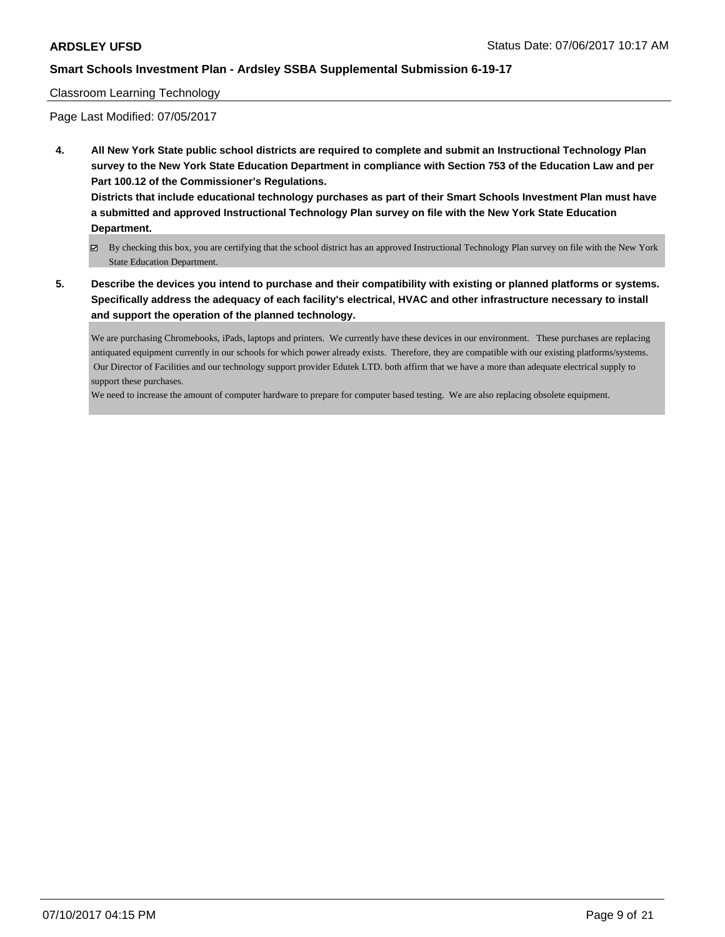## Classroom Learning Technology

Page Last Modified: 07/05/2017

**4. All New York State public school districts are required to complete and submit an Instructional Technology Plan survey to the New York State Education Department in compliance with Section 753 of the Education Law and per Part 100.12 of the Commissioner's Regulations.**

**Districts that include educational technology purchases as part of their Smart Schools Investment Plan must have a submitted and approved Instructional Technology Plan survey on file with the New York State Education Department.**

- By checking this box, you are certifying that the school district has an approved Instructional Technology Plan survey on file with the New York State Education Department.
- **5. Describe the devices you intend to purchase and their compatibility with existing or planned platforms or systems. Specifically address the adequacy of each facility's electrical, HVAC and other infrastructure necessary to install and support the operation of the planned technology.**

We are purchasing Chromebooks, iPads, laptops and printers. We currently have these devices in our environment. These purchases are replacing antiquated equipment currently in our schools for which power already exists. Therefore, they are compatible with our existing platforms/systems. Our Director of Facilities and our technology support provider Edutek LTD. both affirm that we have a more than adequate electrical supply to support these purchases.

We need to increase the amount of computer hardware to prepare for computer based testing. We are also replacing obsolete equipment.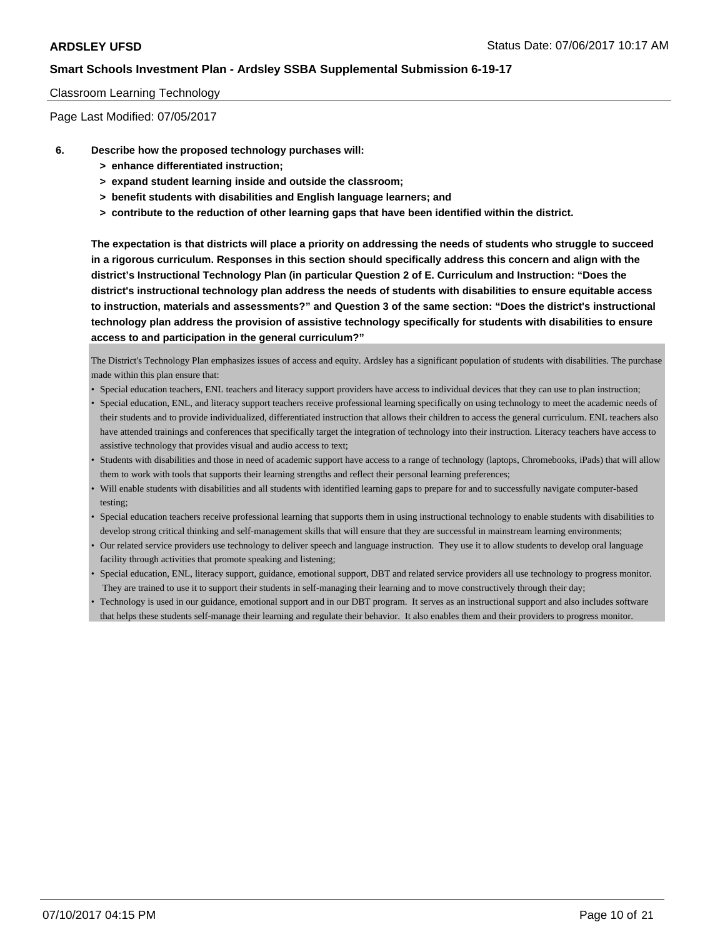#### Classroom Learning Technology

Page Last Modified: 07/05/2017

- **6. Describe how the proposed technology purchases will:**
	- **> enhance differentiated instruction;**
	- **> expand student learning inside and outside the classroom;**
	- **> benefit students with disabilities and English language learners; and**
	- **> contribute to the reduction of other learning gaps that have been identified within the district.**

**The expectation is that districts will place a priority on addressing the needs of students who struggle to succeed in a rigorous curriculum. Responses in this section should specifically address this concern and align with the district's Instructional Technology Plan (in particular Question 2 of E. Curriculum and Instruction: "Does the district's instructional technology plan address the needs of students with disabilities to ensure equitable access to instruction, materials and assessments?" and Question 3 of the same section: "Does the district's instructional technology plan address the provision of assistive technology specifically for students with disabilities to ensure access to and participation in the general curriculum?"**

The District's Technology Plan emphasizes issues of access and equity. Ardsley has a significant population of students with disabilities. The purchase made within this plan ensure that:

- Special education teachers, ENL teachers and literacy support providers have access to individual devices that they can use to plan instruction;
- Special education, ENL, and literacy support teachers receive professional learning specifically on using technology to meet the academic needs of their students and to provide individualized, differentiated instruction that allows their children to access the general curriculum. ENL teachers also have attended trainings and conferences that specifically target the integration of technology into their instruction. Literacy teachers have access to assistive technology that provides visual and audio access to text;
- Students with disabilities and those in need of academic support have access to a range of technology (laptops, Chromebooks, iPads) that will allow them to work with tools that supports their learning strengths and reflect their personal learning preferences;
- Will enable students with disabilities and all students with identified learning gaps to prepare for and to successfully navigate computer-based testing;
- Special education teachers receive professional learning that supports them in using instructional technology to enable students with disabilities to develop strong critical thinking and self-management skills that will ensure that they are successful in mainstream learning environments;
- Our related service providers use technology to deliver speech and language instruction. They use it to allow students to develop oral language facility through activities that promote speaking and listening;
- Special education, ENL, literacy support, guidance, emotional support, DBT and related service providers all use technology to progress monitor. They are trained to use it to support their students in self-managing their learning and to move constructively through their day;
- Technology is used in our guidance, emotional support and in our DBT program. It serves as an instructional support and also includes software that helps these students self-manage their learning and regulate their behavior. It also enables them and their providers to progress monitor.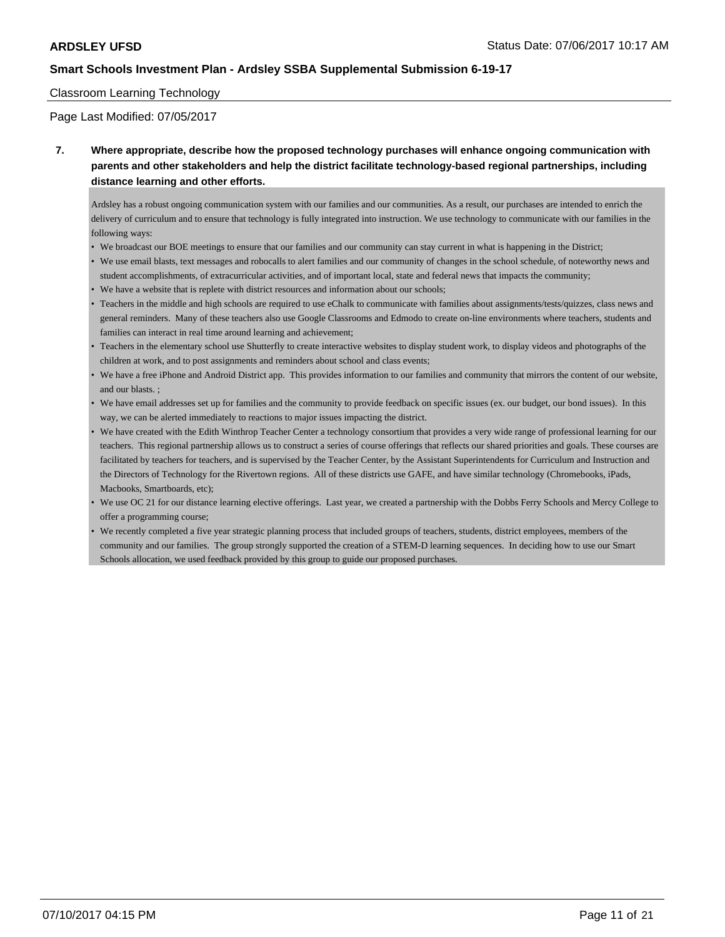## Classroom Learning Technology

Page Last Modified: 07/05/2017

**7. Where appropriate, describe how the proposed technology purchases will enhance ongoing communication with parents and other stakeholders and help the district facilitate technology-based regional partnerships, including distance learning and other efforts.**

Ardsley has a robust ongoing communication system with our families and our communities. As a result, our purchases are intended to enrich the delivery of curriculum and to ensure that technology is fully integrated into instruction. We use technology to communicate with our families in the following ways:

- We broadcast our BOE meetings to ensure that our families and our community can stay current in what is happening in the District;
- We use email blasts, text messages and robocalls to alert families and our community of changes in the school schedule, of noteworthy news and student accomplishments, of extracurricular activities, and of important local, state and federal news that impacts the community;
- We have a website that is replete with district resources and information about our schools;
- Teachers in the middle and high schools are required to use eChalk to communicate with families about assignments/tests/quizzes, class news and general reminders. Many of these teachers also use Google Classrooms and Edmodo to create on-line environments where teachers, students and families can interact in real time around learning and achievement;
- Teachers in the elementary school use Shutterfly to create interactive websites to display student work, to display videos and photographs of the children at work, and to post assignments and reminders about school and class events;
- We have a free iPhone and Android District app. This provides information to our families and community that mirrors the content of our website, and our blasts. ;
- We have email addresses set up for families and the community to provide feedback on specific issues (ex. our budget, our bond issues). In this way, we can be alerted immediately to reactions to major issues impacting the district.
- We have created with the Edith Winthrop Teacher Center a technology consortium that provides a very wide range of professional learning for our teachers. This regional partnership allows us to construct a series of course offerings that reflects our shared priorities and goals. These courses are facilitated by teachers for teachers, and is supervised by the Teacher Center, by the Assistant Superintendents for Curriculum and Instruction and the Directors of Technology for the Rivertown regions. All of these districts use GAFE, and have similar technology (Chromebooks, iPads, Macbooks, Smartboards, etc);
- We use OC 21 for our distance learning elective offerings. Last year, we created a partnership with the Dobbs Ferry Schools and Mercy College to offer a programming course;
- We recently completed a five year strategic planning process that included groups of teachers, students, district employees, members of the community and our families. The group strongly supported the creation of a STEM-D learning sequences. In deciding how to use our Smart Schools allocation, we used feedback provided by this group to guide our proposed purchases.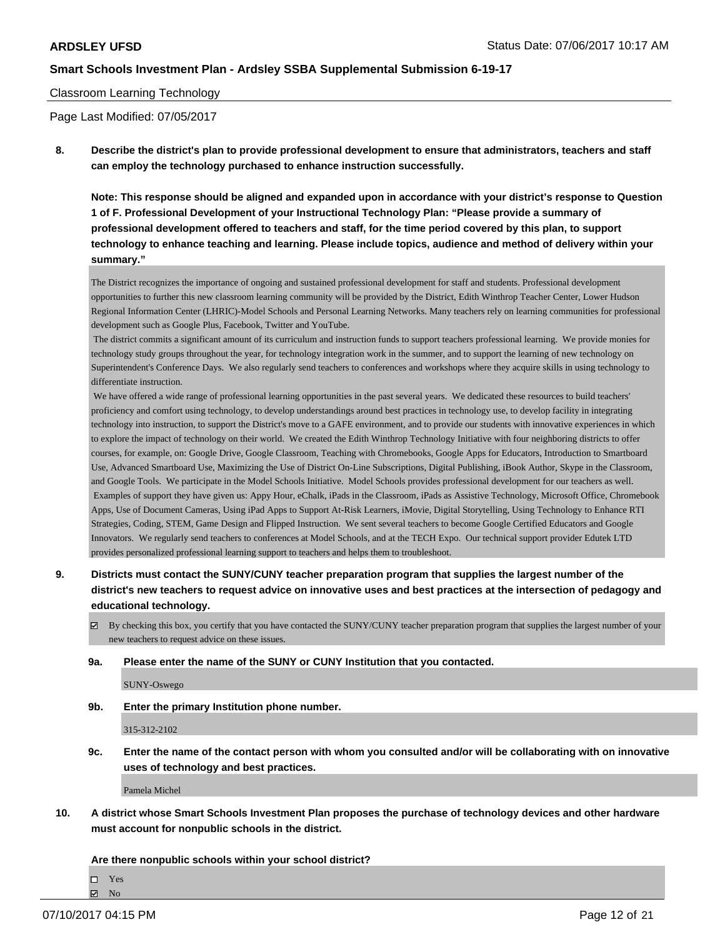#### Classroom Learning Technology

Page Last Modified: 07/05/2017

**8. Describe the district's plan to provide professional development to ensure that administrators, teachers and staff can employ the technology purchased to enhance instruction successfully.**

**Note: This response should be aligned and expanded upon in accordance with your district's response to Question 1 of F. Professional Development of your Instructional Technology Plan: "Please provide a summary of professional development offered to teachers and staff, for the time period covered by this plan, to support technology to enhance teaching and learning. Please include topics, audience and method of delivery within your summary."**

The District recognizes the importance of ongoing and sustained professional development for staff and students. Professional development opportunities to further this new classroom learning community will be provided by the District, Edith Winthrop Teacher Center, Lower Hudson Regional Information Center (LHRIC)-Model Schools and Personal Learning Networks. Many teachers rely on learning communities for professional development such as Google Plus, Facebook, Twitter and YouTube.

 The district commits a significant amount of its curriculum and instruction funds to support teachers professional learning. We provide monies for technology study groups throughout the year, for technology integration work in the summer, and to support the learning of new technology on Superintendent's Conference Days. We also regularly send teachers to conferences and workshops where they acquire skills in using technology to differentiate instruction.

 We have offered a wide range of professional learning opportunities in the past several years. We dedicated these resources to build teachers' proficiency and comfort using technology, to develop understandings around best practices in technology use, to develop facility in integrating technology into instruction, to support the District's move to a GAFE environment, and to provide our students with innovative experiences in which to explore the impact of technology on their world. We created the Edith Winthrop Technology Initiative with four neighboring districts to offer courses, for example, on: Google Drive, Google Classroom, Teaching with Chromebooks, Google Apps for Educators, Introduction to Smartboard Use, Advanced Smartboard Use, Maximizing the Use of District On-Line Subscriptions, Digital Publishing, iBook Author, Skype in the Classroom, and Google Tools. We participate in the Model Schools Initiative. Model Schools provides professional development for our teachers as well. Examples of support they have given us: Appy Hour, eChalk, iPads in the Classroom, iPads as Assistive Technology, Microsoft Office, Chromebook Apps, Use of Document Cameras, Using iPad Apps to Support At-Risk Learners, iMovie, Digital Storytelling, Using Technology to Enhance RTI Strategies, Coding, STEM, Game Design and Flipped Instruction. We sent several teachers to become Google Certified Educators and Google Innovators. We regularly send teachers to conferences at Model Schools, and at the TECH Expo. Our technical support provider Edutek LTD provides personalized professional learning support to teachers and helps them to troubleshoot.

- **9. Districts must contact the SUNY/CUNY teacher preparation program that supplies the largest number of the district's new teachers to request advice on innovative uses and best practices at the intersection of pedagogy and educational technology.**
	- $\boxtimes$  By checking this box, you certify that you have contacted the SUNY/CUNY teacher preparation program that supplies the largest number of your new teachers to request advice on these issues.
	- **9a. Please enter the name of the SUNY or CUNY Institution that you contacted.**

SUNY-Oswego

**9b. Enter the primary Institution phone number.**

315-312-2102

**9c. Enter the name of the contact person with whom you consulted and/or will be collaborating with on innovative uses of technology and best practices.**

Pamela Michel

**10. A district whose Smart Schools Investment Plan proposes the purchase of technology devices and other hardware must account for nonpublic schools in the district.**

**Are there nonpublic schools within your school district?**

Yes

 $\boxtimes$  No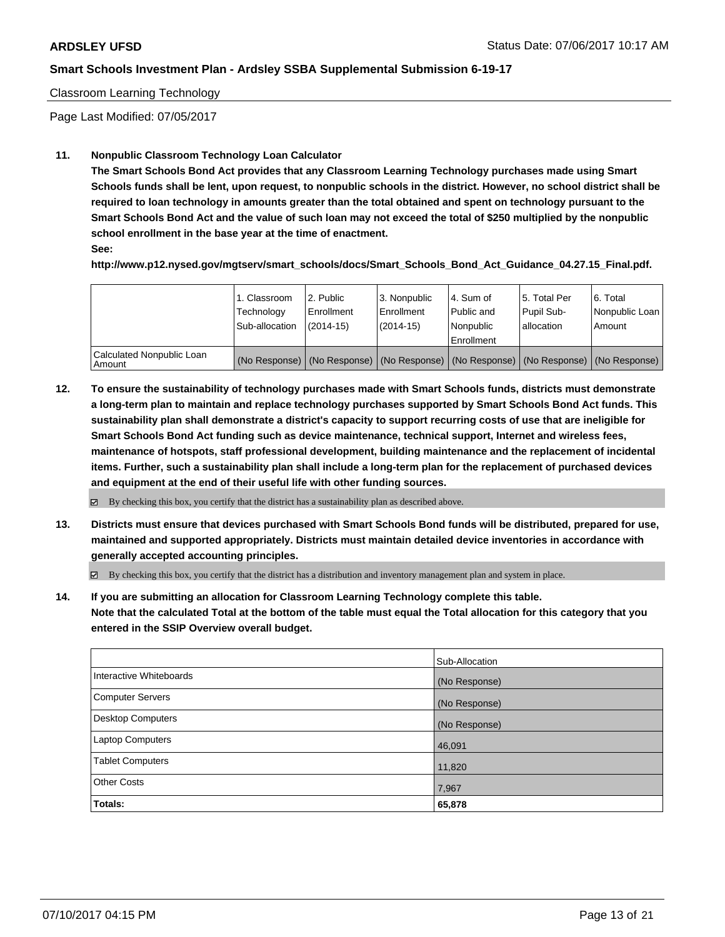### Classroom Learning Technology

Page Last Modified: 07/05/2017

## **11. Nonpublic Classroom Technology Loan Calculator**

**The Smart Schools Bond Act provides that any Classroom Learning Technology purchases made using Smart Schools funds shall be lent, upon request, to nonpublic schools in the district. However, no school district shall be required to loan technology in amounts greater than the total obtained and spent on technology pursuant to the Smart Schools Bond Act and the value of such loan may not exceed the total of \$250 multiplied by the nonpublic school enrollment in the base year at the time of enactment.**

**See:**

**http://www.p12.nysed.gov/mgtserv/smart\_schools/docs/Smart\_Schools\_Bond\_Act\_Guidance\_04.27.15\_Final.pdf.**

|                                       | 1. Classroom<br>Technology<br>Sub-allocation | 2. Public<br>Enrollment<br>$(2014-15)$ | 3. Nonpublic<br>Enrollment<br>$(2014-15)$ | l 4. Sum of<br>Public and<br>l Nonpublic<br>Enrollment                                        | 15. Total Per<br>Pupil Sub-<br>allocation | 6. Total<br>Nonpublic Loan<br>Amount |
|---------------------------------------|----------------------------------------------|----------------------------------------|-------------------------------------------|-----------------------------------------------------------------------------------------------|-------------------------------------------|--------------------------------------|
| Calculated Nonpublic Loan<br>l Amount |                                              |                                        |                                           | (No Response)   (No Response)   (No Response)   (No Response)   (No Response)   (No Response) |                                           |                                      |

**12. To ensure the sustainability of technology purchases made with Smart Schools funds, districts must demonstrate a long-term plan to maintain and replace technology purchases supported by Smart Schools Bond Act funds. This sustainability plan shall demonstrate a district's capacity to support recurring costs of use that are ineligible for Smart Schools Bond Act funding such as device maintenance, technical support, Internet and wireless fees, maintenance of hotspots, staff professional development, building maintenance and the replacement of incidental items. Further, such a sustainability plan shall include a long-term plan for the replacement of purchased devices and equipment at the end of their useful life with other funding sources.**

 $\boxtimes$  By checking this box, you certify that the district has a sustainability plan as described above.

**13. Districts must ensure that devices purchased with Smart Schools Bond funds will be distributed, prepared for use, maintained and supported appropriately. Districts must maintain detailed device inventories in accordance with generally accepted accounting principles.**

 $\boxtimes$  By checking this box, you certify that the district has a distribution and inventory management plan and system in place.

**14. If you are submitting an allocation for Classroom Learning Technology complete this table. Note that the calculated Total at the bottom of the table must equal the Total allocation for this category that you entered in the SSIP Overview overall budget.**

|                          | Sub-Allocation |
|--------------------------|----------------|
| Interactive Whiteboards  | (No Response)  |
| <b>Computer Servers</b>  | (No Response)  |
| <b>Desktop Computers</b> | (No Response)  |
| <b>Laptop Computers</b>  | 46,091         |
| <b>Tablet Computers</b>  | 11,820         |
| <b>Other Costs</b>       | 7,967          |
| Totals:                  | 65,878         |
|                          |                |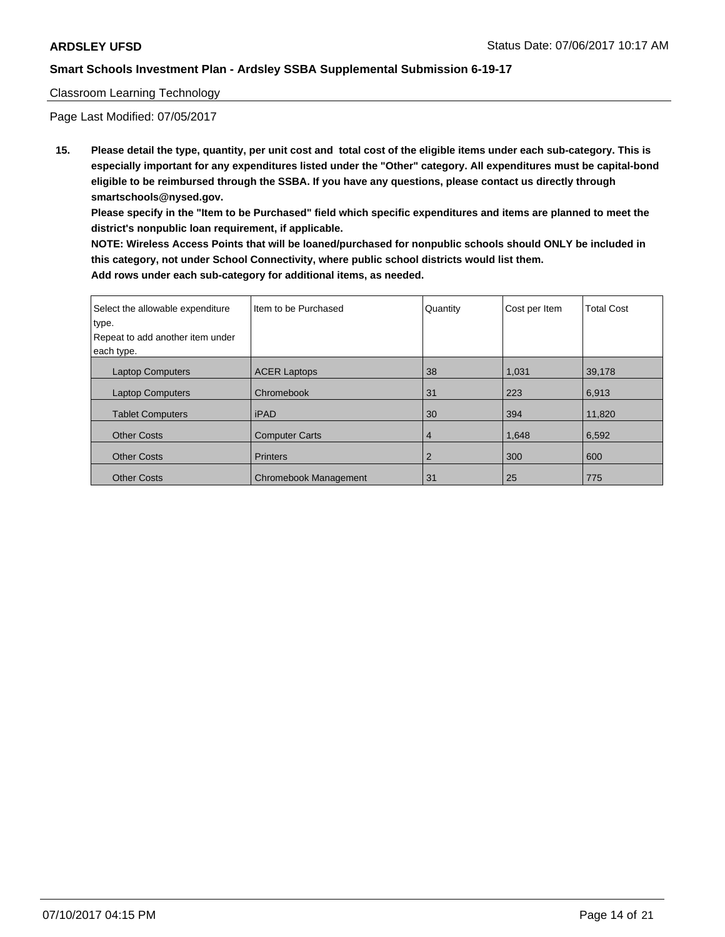## Classroom Learning Technology

Page Last Modified: 07/05/2017

**15. Please detail the type, quantity, per unit cost and total cost of the eligible items under each sub-category. This is especially important for any expenditures listed under the "Other" category. All expenditures must be capital-bond eligible to be reimbursed through the SSBA. If you have any questions, please contact us directly through smartschools@nysed.gov.**

**Please specify in the "Item to be Purchased" field which specific expenditures and items are planned to meet the district's nonpublic loan requirement, if applicable.**

**NOTE: Wireless Access Points that will be loaned/purchased for nonpublic schools should ONLY be included in this category, not under School Connectivity, where public school districts would list them. Add rows under each sub-category for additional items, as needed.**

| Select the allowable expenditure | Iltem to be Purchased        | Quantity       | Cost per Item | <b>Total Cost</b> |
|----------------------------------|------------------------------|----------------|---------------|-------------------|
| type.                            |                              |                |               |                   |
| Repeat to add another item under |                              |                |               |                   |
| each type.                       |                              |                |               |                   |
| <b>Laptop Computers</b>          | <b>ACER Laptops</b>          | 38             | 1,031         | 39,178            |
| <b>Laptop Computers</b>          | Chromebook                   | 31             | 223           | 6,913             |
| <b>Tablet Computers</b>          | iPAD                         | 30             | 394           | 11,820            |
| <b>Other Costs</b>               | <b>Computer Carts</b>        | $\overline{4}$ | 1,648         | 6,592             |
| <b>Other Costs</b>               | <b>Printers</b>              | 2              | 300           | 600               |
| <b>Other Costs</b>               | <b>Chromebook Management</b> | 31             | 25            | 775               |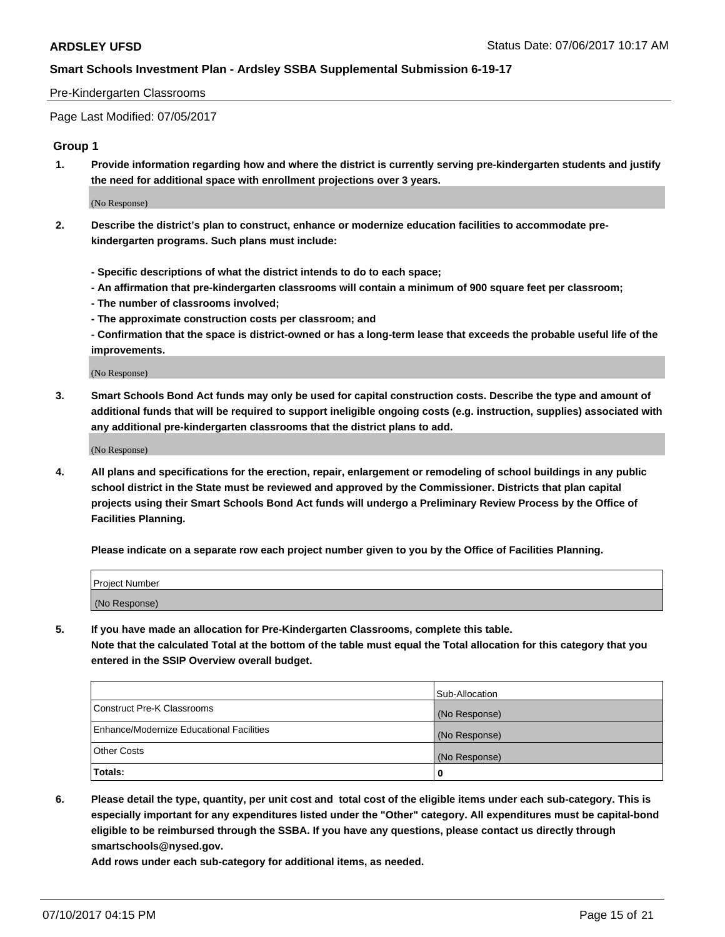#### Pre-Kindergarten Classrooms

Page Last Modified: 07/05/2017

#### **Group 1**

**1. Provide information regarding how and where the district is currently serving pre-kindergarten students and justify the need for additional space with enrollment projections over 3 years.**

(No Response)

- **2. Describe the district's plan to construct, enhance or modernize education facilities to accommodate prekindergarten programs. Such plans must include:**
	- **Specific descriptions of what the district intends to do to each space;**
	- **An affirmation that pre-kindergarten classrooms will contain a minimum of 900 square feet per classroom;**
	- **The number of classrooms involved;**
	- **The approximate construction costs per classroom; and**
	- **Confirmation that the space is district-owned or has a long-term lease that exceeds the probable useful life of the improvements.**

(No Response)

**3. Smart Schools Bond Act funds may only be used for capital construction costs. Describe the type and amount of additional funds that will be required to support ineligible ongoing costs (e.g. instruction, supplies) associated with any additional pre-kindergarten classrooms that the district plans to add.**

(No Response)

**4. All plans and specifications for the erection, repair, enlargement or remodeling of school buildings in any public school district in the State must be reviewed and approved by the Commissioner. Districts that plan capital projects using their Smart Schools Bond Act funds will undergo a Preliminary Review Process by the Office of Facilities Planning.**

**Please indicate on a separate row each project number given to you by the Office of Facilities Planning.**

| Project Number |  |
|----------------|--|
| (No Response)  |  |

**5. If you have made an allocation for Pre-Kindergarten Classrooms, complete this table. Note that the calculated Total at the bottom of the table must equal the Total allocation for this category that you entered in the SSIP Overview overall budget.**

| Totals:                                  | 0              |
|------------------------------------------|----------------|
| Other Costs                              | (No Response)  |
| Enhance/Modernize Educational Facilities | (No Response)  |
| Construct Pre-K Classrooms               | (No Response)  |
|                                          | Sub-Allocation |

**6. Please detail the type, quantity, per unit cost and total cost of the eligible items under each sub-category. This is especially important for any expenditures listed under the "Other" category. All expenditures must be capital-bond eligible to be reimbursed through the SSBA. If you have any questions, please contact us directly through smartschools@nysed.gov.**

**Add rows under each sub-category for additional items, as needed.**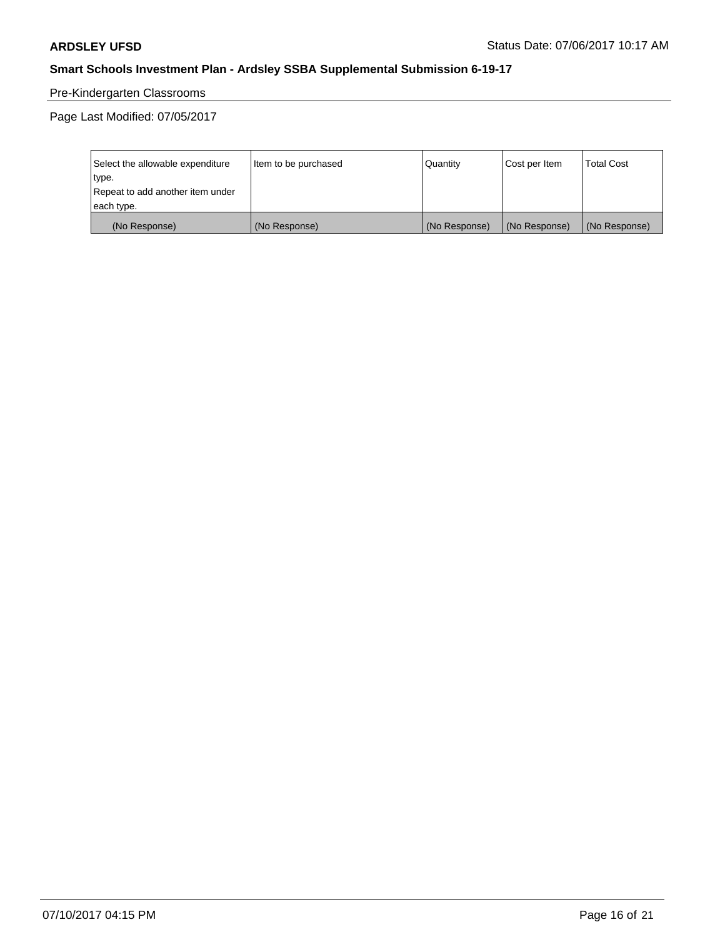# Pre-Kindergarten Classrooms

Page Last Modified: 07/05/2017

| Select the allowable expenditure | Item to be purchased | Quantity      | Cost per Item | <b>Total Cost</b> |
|----------------------------------|----------------------|---------------|---------------|-------------------|
| type.                            |                      |               |               |                   |
| Repeat to add another item under |                      |               |               |                   |
| each type.                       |                      |               |               |                   |
| (No Response)                    | (No Response)        | (No Response) | (No Response) | (No Response)     |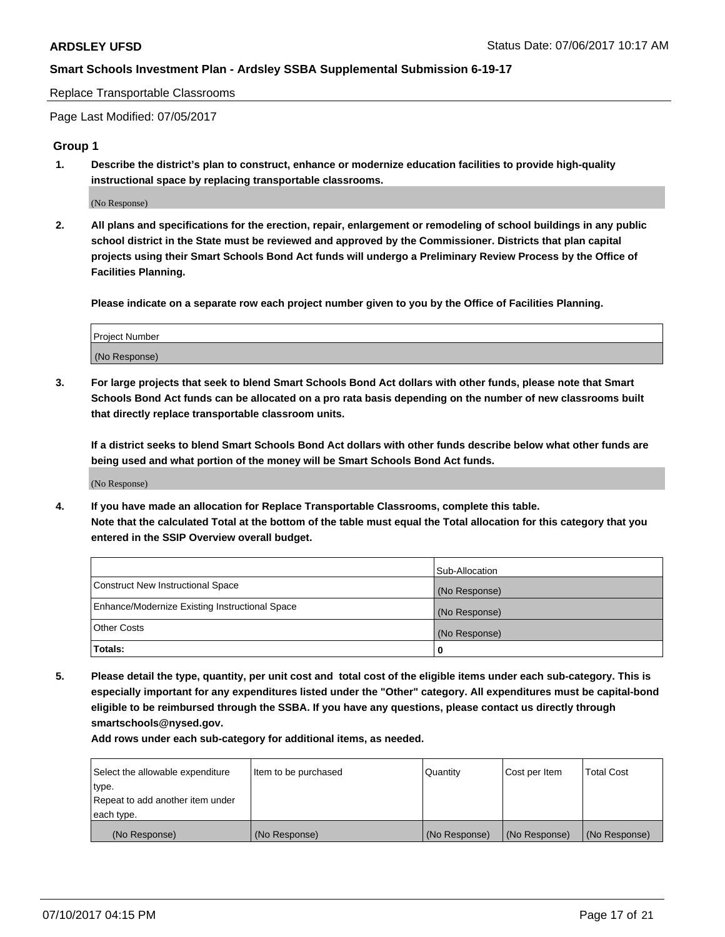Replace Transportable Classrooms

Page Last Modified: 07/05/2017

#### **Group 1**

**1. Describe the district's plan to construct, enhance or modernize education facilities to provide high-quality instructional space by replacing transportable classrooms.**

(No Response)

**2. All plans and specifications for the erection, repair, enlargement or remodeling of school buildings in any public school district in the State must be reviewed and approved by the Commissioner. Districts that plan capital projects using their Smart Schools Bond Act funds will undergo a Preliminary Review Process by the Office of Facilities Planning.**

**Please indicate on a separate row each project number given to you by the Office of Facilities Planning.**

| Project Number |  |
|----------------|--|
| (No Response)  |  |

**3. For large projects that seek to blend Smart Schools Bond Act dollars with other funds, please note that Smart Schools Bond Act funds can be allocated on a pro rata basis depending on the number of new classrooms built that directly replace transportable classroom units.**

**If a district seeks to blend Smart Schools Bond Act dollars with other funds describe below what other funds are being used and what portion of the money will be Smart Schools Bond Act funds.**

(No Response)

**4. If you have made an allocation for Replace Transportable Classrooms, complete this table. Note that the calculated Total at the bottom of the table must equal the Total allocation for this category that you entered in the SSIP Overview overall budget.**

|                                                | Sub-Allocation |
|------------------------------------------------|----------------|
| Construct New Instructional Space              | (No Response)  |
| Enhance/Modernize Existing Instructional Space | (No Response)  |
| Other Costs                                    | (No Response)  |
| Totals:                                        | $\Omega$       |

**5. Please detail the type, quantity, per unit cost and total cost of the eligible items under each sub-category. This is especially important for any expenditures listed under the "Other" category. All expenditures must be capital-bond eligible to be reimbursed through the SSBA. If you have any questions, please contact us directly through smartschools@nysed.gov.**

**Add rows under each sub-category for additional items, as needed.**

| Select the allowable expenditure | Item to be purchased | Quantity      | Cost per Item | <b>Total Cost</b> |
|----------------------------------|----------------------|---------------|---------------|-------------------|
| type.                            |                      |               |               |                   |
| Repeat to add another item under |                      |               |               |                   |
| each type.                       |                      |               |               |                   |
| (No Response)                    | (No Response)        | (No Response) | (No Response) | (No Response)     |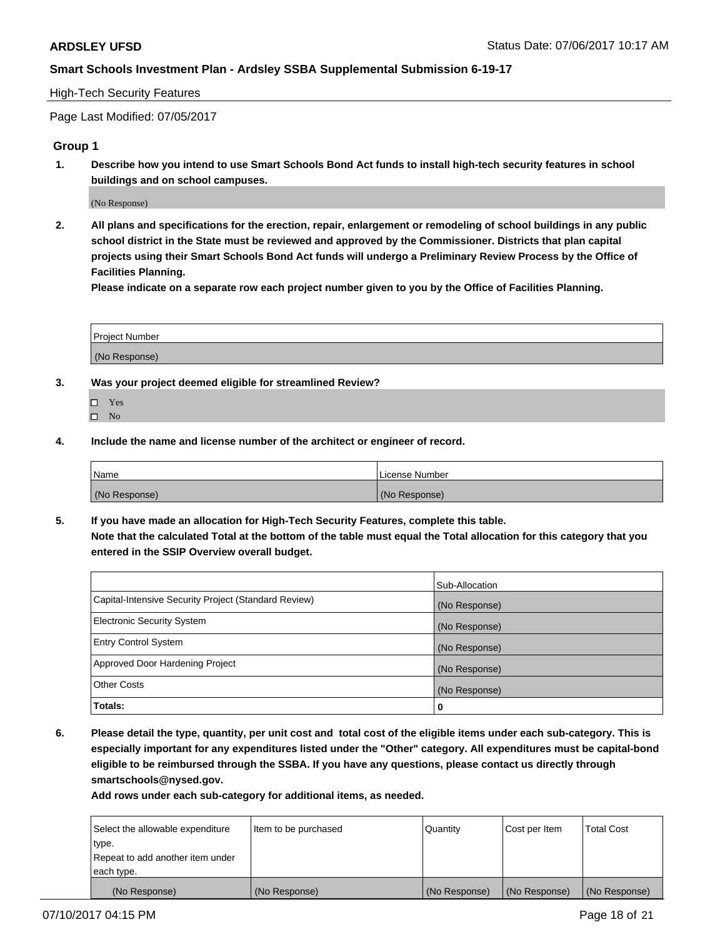### High-Tech Security Features

Page Last Modified: 07/05/2017

## **Group 1**

**1. Describe how you intend to use Smart Schools Bond Act funds to install high-tech security features in school buildings and on school campuses.**

(No Response)

**2. All plans and specifications for the erection, repair, enlargement or remodeling of school buildings in any public school district in the State must be reviewed and approved by the Commissioner. Districts that plan capital projects using their Smart Schools Bond Act funds will undergo a Preliminary Review Process by the Office of Facilities Planning.** 

**Please indicate on a separate row each project number given to you by the Office of Facilities Planning.**

| Project Number |  |
|----------------|--|
|                |  |
| (No Response)  |  |

- **3. Was your project deemed eligible for streamlined Review?**
	- Yes  $\hfill \square$  No
- **4. Include the name and license number of the architect or engineer of record.**

| Name          | l License Number |
|---------------|------------------|
| (No Response) | (No Response)    |

**5. If you have made an allocation for High-Tech Security Features, complete this table. Note that the calculated Total at the bottom of the table must equal the Total allocation for this category that you entered in the SSIP Overview overall budget.**

|                                                      | Sub-Allocation |
|------------------------------------------------------|----------------|
| Capital-Intensive Security Project (Standard Review) | (No Response)  |
| Electronic Security System                           | (No Response)  |
| <b>Entry Control System</b>                          | (No Response)  |
| Approved Door Hardening Project                      | (No Response)  |
| <b>Other Costs</b>                                   | (No Response)  |
| Totals:                                              | 0              |

**6. Please detail the type, quantity, per unit cost and total cost of the eligible items under each sub-category. This is especially important for any expenditures listed under the "Other" category. All expenditures must be capital-bond eligible to be reimbursed through the SSBA. If you have any questions, please contact us directly through smartschools@nysed.gov.**

**Add rows under each sub-category for additional items, as needed.**

| (No Response)                    | (No Response)        | (No Response) | (No Response) | (No Response)     |
|----------------------------------|----------------------|---------------|---------------|-------------------|
| each type.                       |                      |               |               |                   |
| Repeat to add another item under |                      |               |               |                   |
| type.                            |                      |               |               |                   |
| Select the allowable expenditure | Item to be purchased | Quantity      | Cost per Item | <b>Total Cost</b> |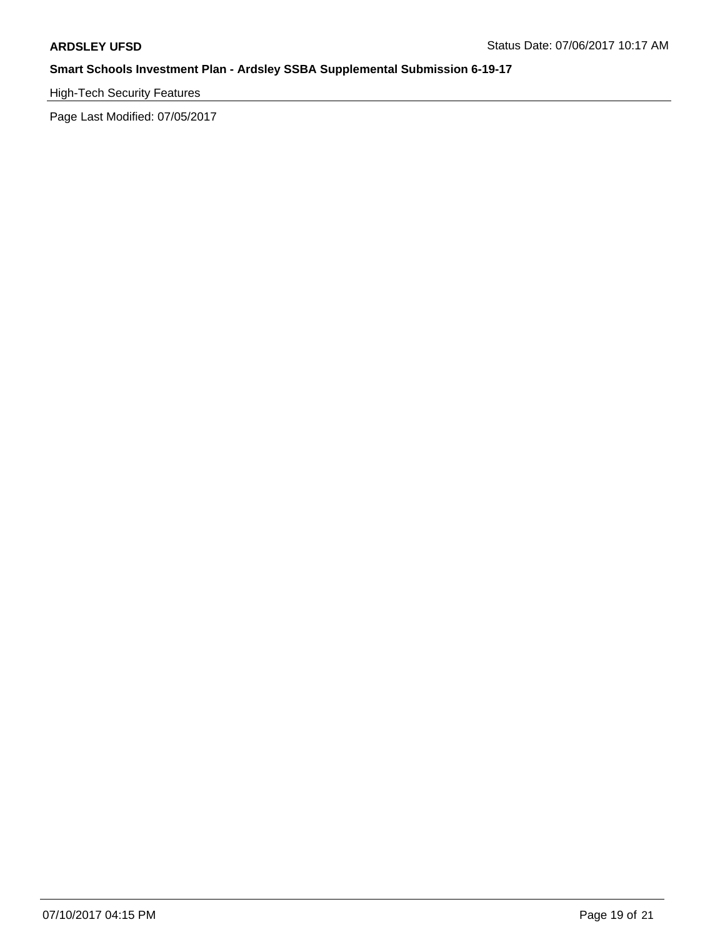# High-Tech Security Features

Page Last Modified: 07/05/2017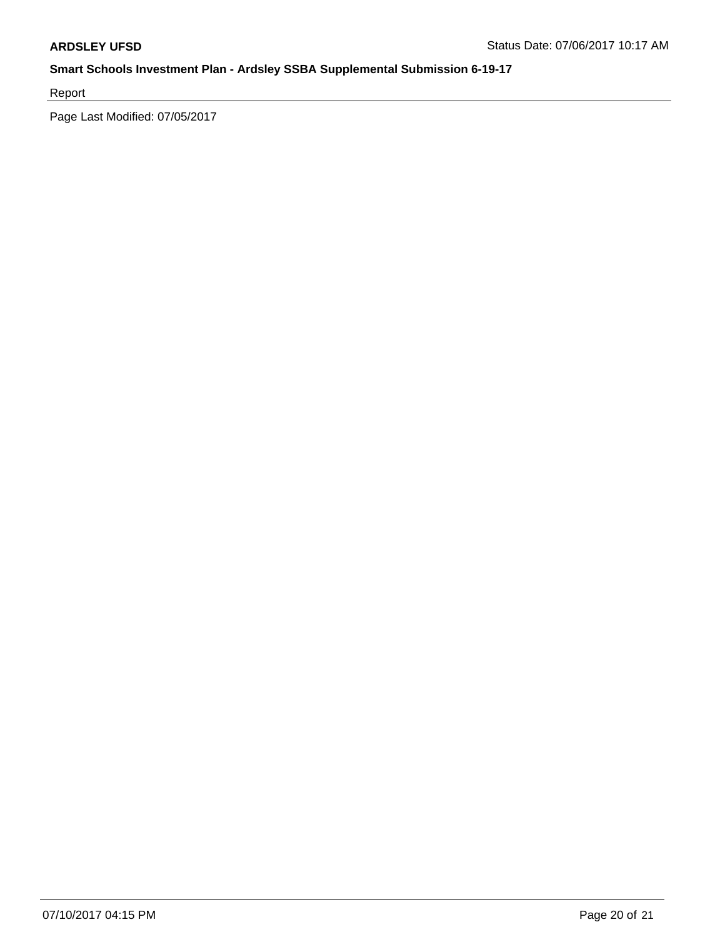Report

Page Last Modified: 07/05/2017